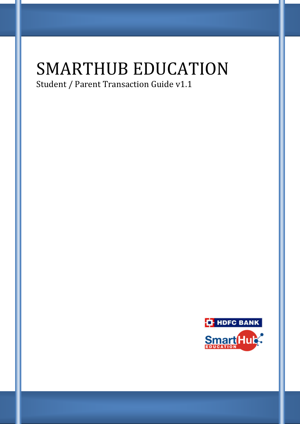# SMARTHUB EDUCATION

Student / Parent Transaction Guide v1.1

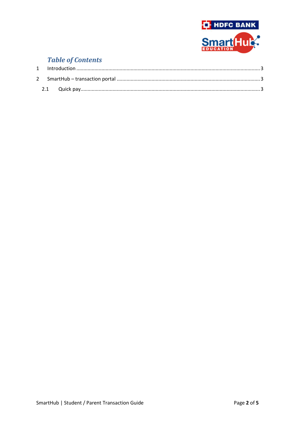

## **Table of Contents**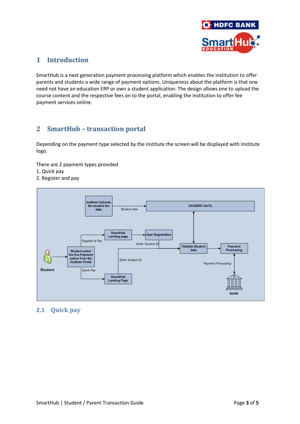

#### <span id="page-2-0"></span>**1 Introduction**

SmartHub is a next generation payment processing platform which enables the institution to offer parents and students a wide range of payment options. Uniqueness about the platform is that one need not have an education ERP or own a student application. The design allows one to upload the course content and the respective fees on to the portal, enabling the institution to offer fee payment services online.

#### <span id="page-2-1"></span>**2 SmartHub – transaction portal**

Depending on the payment type selected by the institute the screen will be displayed with Institute logo.

There are 2 payment types provided

- 1. Quick pay
- 2. Register and pay



#### <span id="page-2-2"></span>**2.1 Quick pay**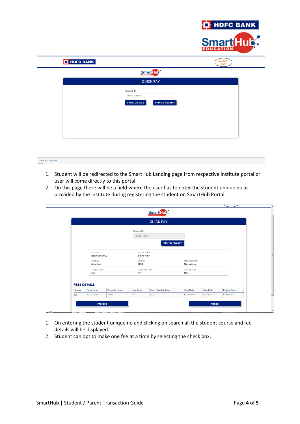

| <b>T</b> HDFC BANK                                           | <b>INSTITUTE</b><br>LOGO |
|--------------------------------------------------------------|--------------------------|
| <b>Smart</b> Hule:                                           |                          |
| <b>QUICK PAY</b>                                             |                          |
| <b>Student ID</b><br>Enter student id<br><b>SHOW DETAILS</b> | PRINT E-RECEIPT          |
|                                                              |                          |

### Terms & Conditions

- 1. Student will be redirected to the SmartHub Landing page from respective institute portal or user will come directly to this portal.
- 2. On this page there will be a field where the user has to enter the student unique no as provided by the institute during registering the student on SmartHub Portal.

|               |                                 |                     |                                 | <b>QUICK PAY</b>          |                                    |                 |                    |  |
|---------------|---------------------------------|---------------------|---------------------------------|---------------------------|------------------------------------|-----------------|--------------------|--|
|               |                                 |                     | <b>Student ID</b><br>EDUTEST002 | PRINT E-RECEIPT           |                                    |                 |                    |  |
|               | <b>STUDENT ID</b><br>EDUTEST002 |                     | <b>Baiju Nair</b>               | <b>STUDENT NAME:</b>      |                                    |                 |                    |  |
|               | <b>BRANCH</b><br><b>Mumbai</b>  |                     | COURSE<br><b>MBA</b>            |                           | SPECIALIZATION<br><b>Marketing</b> |                 |                    |  |
|               | <b>COURSE TYPE</b><br><b>NA</b> |                     | <b>NA</b>                       | <b>COURSE PATTERN</b>     | <b>COURSE TERM</b><br><b>NA</b>    |                 |                    |  |
|               | <b>FEES DETAILS</b>             |                     |                                 |                           |                                    |                 |                    |  |
| <b>Status</b> | <b>Fees Type</b>                | <b>Payable Fees</b> | <b>Late Fees</b>                | <b>Total Payable Fees</b> | <b>Start Date</b>                  | <b>Due Date</b> | <b>Expiry Date</b> |  |

- 1. On entering the student unique no and clicking on search all the student course and fee details will be displayed.
- 2. Student can opt to make one fee at a time by selecting the check box.